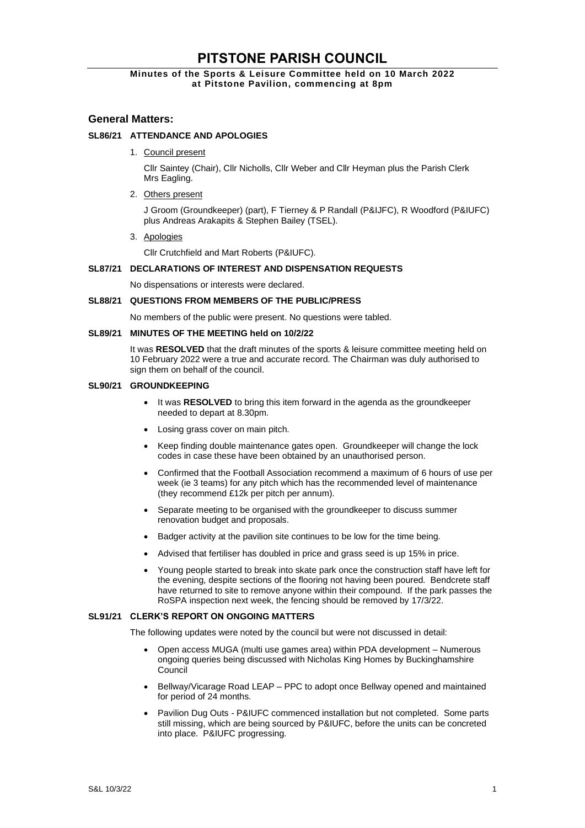# **PITSTONE PARISH COUNCIL**

# **Minutes of the Sports & Leisure Committee held on 10 March 2022 at Pitstone Pavilion, commencing at 8pm**

# **General Matters:**

# **SL86/21 ATTENDANCE AND APOLOGIES**

1. Council present

Cllr Saintey (Chair), Cllr Nicholls, Cllr Weber and Cllr Heyman plus the Parish Clerk Mrs Eagling.

2. Others present

J Groom (Groundkeeper) (part), F Tierney & P Randall (P&IJFC), R Woodford (P&IUFC) plus Andreas Arakapits & Stephen Bailey (TSEL).

3. Apologies

Cllr Crutchfield and Mart Roberts (P&IUFC).

# **SL87/21 DECLARATIONS OF INTEREST AND DISPENSATION REQUESTS**

No dispensations or interests were declared.

#### **SL88/21 QUESTIONS FROM MEMBERS OF THE PUBLIC/PRESS**

No members of the public were present. No questions were tabled.

## **SL89/21 MINUTES OF THE MEETING held on 10/2/22**

It was **RESOLVED** that the draft minutes of the sports & leisure committee meeting held on 10 February 2022 were a true and accurate record. The Chairman was duly authorised to sign them on behalf of the council.

#### **SL90/21 GROUNDKEEPING**

- It was **RESOLVED** to bring this item forward in the agenda as the groundkeeper needed to depart at 8.30pm.
- Losing grass cover on main pitch.
- Keep finding double maintenance gates open. Groundkeeper will change the lock codes in case these have been obtained by an unauthorised person.
- Confirmed that the Football Association recommend a maximum of 6 hours of use per week (ie 3 teams) for any pitch which has the recommended level of maintenance (they recommend £12k per pitch per annum).
- Separate meeting to be organised with the groundkeeper to discuss summer renovation budget and proposals.
- Badger activity at the pavilion site continues to be low for the time being.
- Advised that fertiliser has doubled in price and grass seed is up 15% in price.
- Young people started to break into skate park once the construction staff have left for the evening, despite sections of the flooring not having been poured. Bendcrete staff have returned to site to remove anyone within their compound. If the park passes the RoSPA inspection next week, the fencing should be removed by 17/3/22.

#### **SL91/21 CLERK'S REPORT ON ONGOING MATTERS**

The following updates were noted by the council but were not discussed in detail:

- Open access MUGA (multi use games area) within PDA development Numerous ongoing queries being discussed with Nicholas King Homes by Buckinghamshire Council
- Bellway/Vicarage Road LEAP PPC to adopt once Bellway opened and maintained for period of 24 months.
- Pavilion Dug Outs P&IUFC commenced installation but not completed. Some parts still missing, which are being sourced by P&IUFC, before the units can be concreted into place. P&IUFC progressing.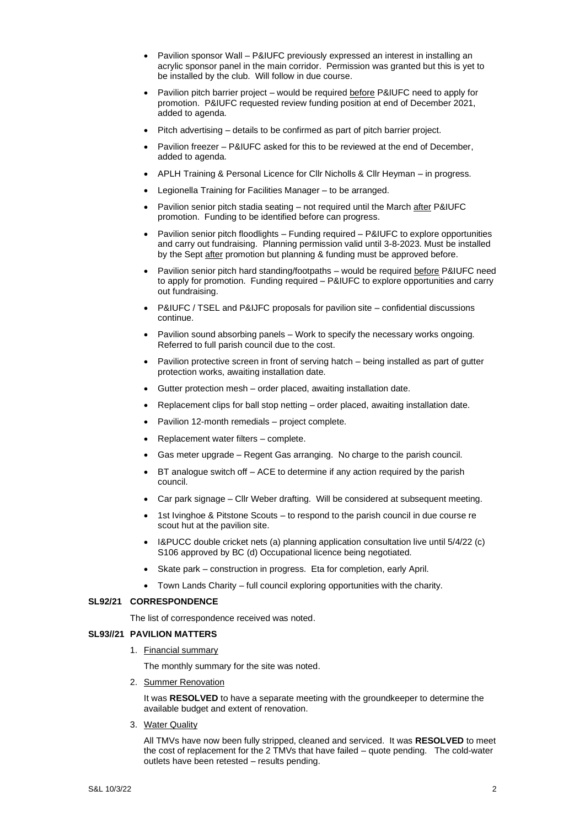- Pavilion sponsor Wall P&IUFC previously expressed an interest in installing an acrylic sponsor panel in the main corridor. Permission was granted but this is yet to be installed by the club. Will follow in due course.
- Pavilion pitch barrier project would be required before P&IUFC need to apply for promotion. P&IUFC requested review funding position at end of December 2021, added to agenda.
- Pitch advertising details to be confirmed as part of pitch barrier project.
- Pavilion freezer P&IUFC asked for this to be reviewed at the end of December, added to agenda.
- APLH Training & Personal Licence for Cllr Nicholls & Cllr Heyman in progress.
- Legionella Training for Facilities Manager to be arranged.
- Pavilion senior pitch stadia seating not required until the March after P&IUFC promotion. Funding to be identified before can progress.
- Pavilion senior pitch floodlights Funding required P&IUFC to explore opportunities and carry out fundraising. Planning permission valid until 3-8-2023. Must be installed by the Sept after promotion but planning & funding must be approved before.
- Pavilion senior pitch hard standing/footpaths would be required before P&IUFC need to apply for promotion. Funding required – P&IUFC to explore opportunities and carry out fundraising.
- P&IUFC / TSEL and P&IJFC proposals for pavilion site confidential discussions continue.
- Pavilion sound absorbing panels Work to specify the necessary works ongoing. Referred to full parish council due to the cost.
- Pavilion protective screen in front of serving hatch being installed as part of gutter protection works, awaiting installation date.
- Gutter protection mesh order placed, awaiting installation date.
- Replacement clips for ball stop netting order placed, awaiting installation date.
- Pavilion 12-month remedials project complete.
- Replacement water filters complete.
- Gas meter upgrade Regent Gas arranging. No charge to the parish council.
- $BT$  analogue switch off  $-$  ACE to determine if any action required by the parish council.
- Car park signage Cllr Weber drafting. Will be considered at subsequent meeting.
- 1st Ivinghoe & Pitstone Scouts to respond to the parish council in due course re scout hut at the pavilion site.
- I&PUCC double cricket nets (a) planning application consultation live until 5/4/22 (c) S106 approved by BC (d) Occupational licence being negotiated.
- Skate park construction in progress. Eta for completion, early April.
- Town Lands Charity full council exploring opportunities with the charity.

#### **SL92/21 CORRESPONDENCE**

The list of correspondence received was noted.

#### **SL93//21 PAVILION MATTERS**

1. Financial summary

The monthly summary for the site was noted.

2. Summer Renovation

It was **RESOLVED** to have a separate meeting with the groundkeeper to determine the available budget and extent of renovation.

3. Water Quality

All TMVs have now been fully stripped, cleaned and serviced. It was **RESOLVED** to meet the cost of replacement for the 2 TMVs that have failed – quote pending. The cold-water outlets have been retested – results pending.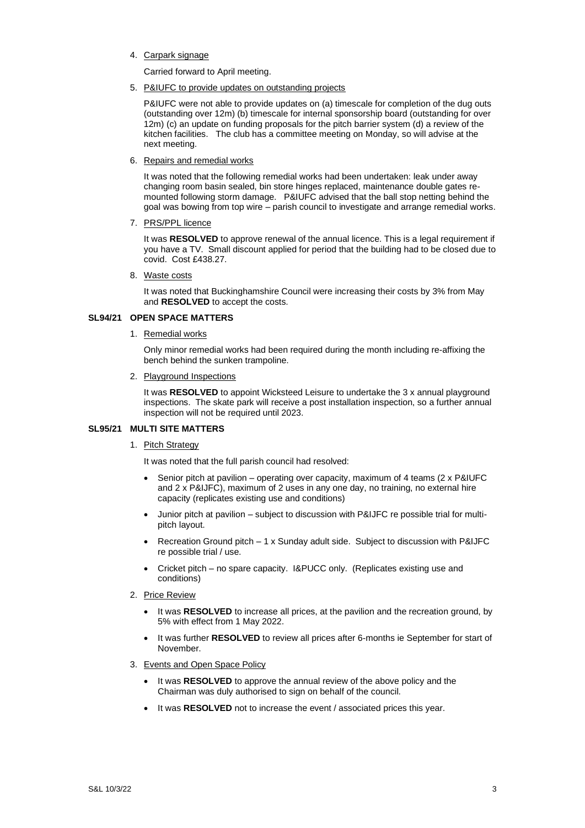4. Carpark signage

Carried forward to April meeting.

5. P&IUFC to provide updates on outstanding projects

P&IUFC were not able to provide updates on (a) timescale for completion of the dug outs (outstanding over 12m) (b) timescale for internal sponsorship board (outstanding for over 12m) (c) an update on funding proposals for the pitch barrier system (d) a review of the kitchen facilities. The club has a committee meeting on Monday, so will advise at the next meeting.

6. Repairs and remedial works

It was noted that the following remedial works had been undertaken: leak under away changing room basin sealed, bin store hinges replaced, maintenance double gates remounted following storm damage. P&IUFC advised that the ball stop netting behind the goal was bowing from top wire – parish council to investigate and arrange remedial works.

7. PRS/PPL licence

It was **RESOLVED** to approve renewal of the annual licence. This is a legal requirement if you have a TV. Small discount applied for period that the building had to be closed due to covid. Cost £438.27.

8. Waste costs

It was noted that Buckinghamshire Council were increasing their costs by 3% from May and **RESOLVED** to accept the costs.

## **SL94/21 OPEN SPACE MATTERS**

1. Remedial works

Only minor remedial works had been required during the month including re-affixing the bench behind the sunken trampoline.

2. Playground Inspections

It was **RESOLVED** to appoint Wicksteed Leisure to undertake the 3 x annual playground inspections. The skate park will receive a post installation inspection, so a further annual inspection will not be required until 2023.

## **SL95/21 MULTI SITE MATTERS**

# 1. Pitch Strategy

It was noted that the full parish council had resolved:

- Senior pitch at pavilion operating over capacity, maximum of 4 teams (2 x P&IUFC and 2 x P&IJFC), maximum of 2 uses in any one day, no training, no external hire capacity (replicates existing use and conditions)
- Junior pitch at pavilion subject to discussion with P&IJFC re possible trial for multipitch layout.
- Recreation Ground pitch 1 x Sunday adult side. Subject to discussion with P&IJFC re possible trial / use.
- Cricket pitch no spare capacity. I&PUCC only. (Replicates existing use and conditions)
- 2. Price Review
	- It was **RESOLVED** to increase all prices, at the pavilion and the recreation ground, by 5% with effect from 1 May 2022.
	- It was further **RESOLVED** to review all prices after 6-months ie September for start of November.
- 3. Events and Open Space Policy
	- It was **RESOLVED** to approve the annual review of the above policy and the Chairman was duly authorised to sign on behalf of the council.
	- It was **RESOLVED** not to increase the event / associated prices this year.